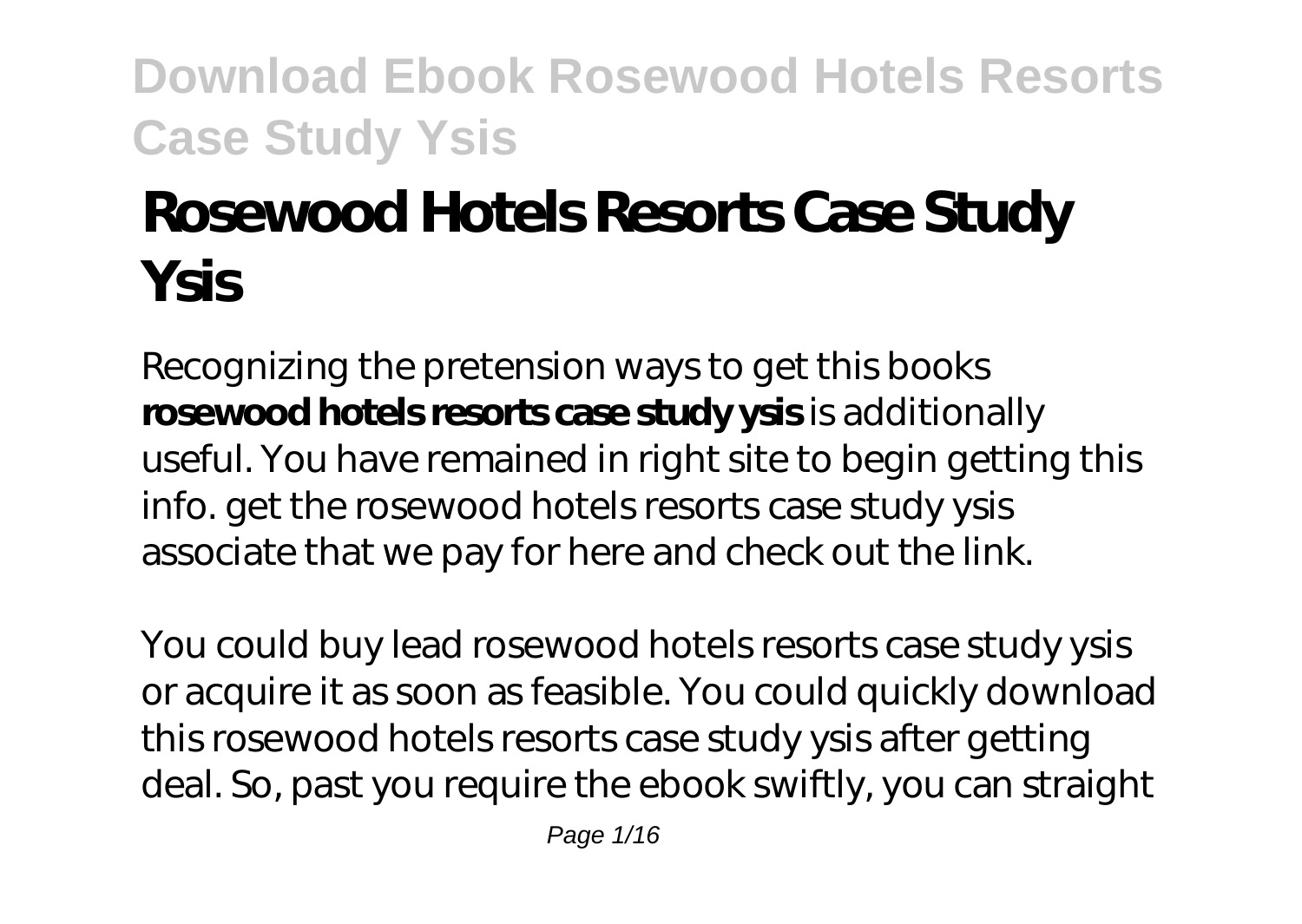# **Rosewood Hotels Resorts Case Study Ysis**

Recognizing the pretension ways to get this books **rosewood hotels resorts case study ysis** is additionally useful. You have remained in right site to begin getting this info. get the rosewood hotels resorts case study ysis associate that we pay for here and check out the link.

You could buy lead rosewood hotels resorts case study ysis or acquire it as soon as feasible. You could quickly download this rosewood hotels resorts case study ysis after getting deal. So, past you require the ebook swiftly, you can straight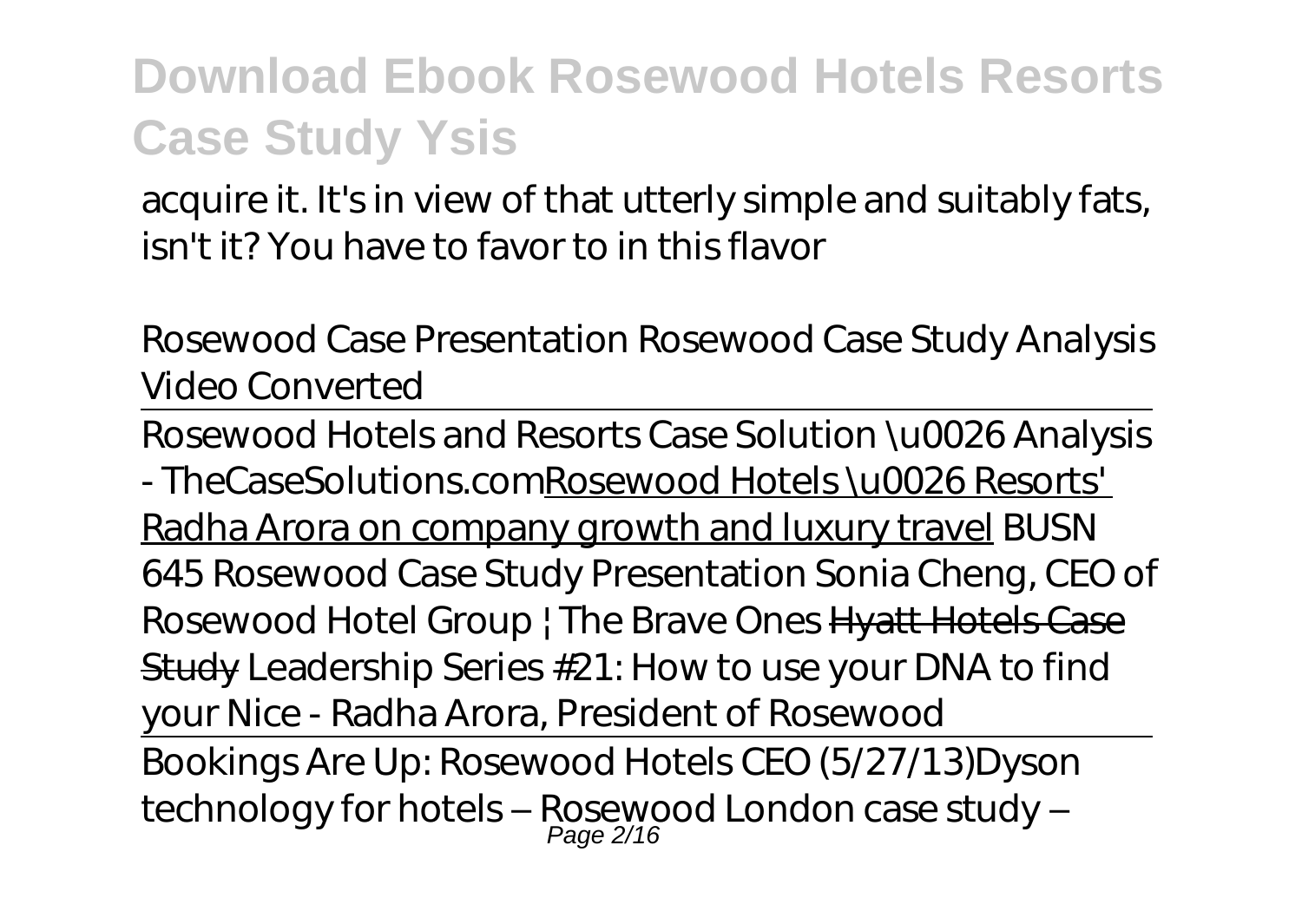acquire it. It's in view of that utterly simple and suitably fats, isn't it? You have to favor to in this flavor

*Rosewood Case Presentation* Rosewood Case Study Analysis Video Converted

Rosewood Hotels and Resorts Case Solution \u0026 Analysis - TheCaseSolutions.comRosewood Hotels \u0026 Resorts' Radha Arora on company growth and luxury travel *BUSN 645 Rosewood Case Study Presentation Sonia Cheng, CEO of Rosewood Hotel Group | The Brave Ones* Hyatt Hotels Case Study *Leadership Series #21: How to use your DNA to find your Nice - Radha Arora, President of Rosewood* Bookings Are Up: Rosewood Hotels CEO (5/27/13)*Dyson technology for hotels – Rosewood London case study –* Page 2/16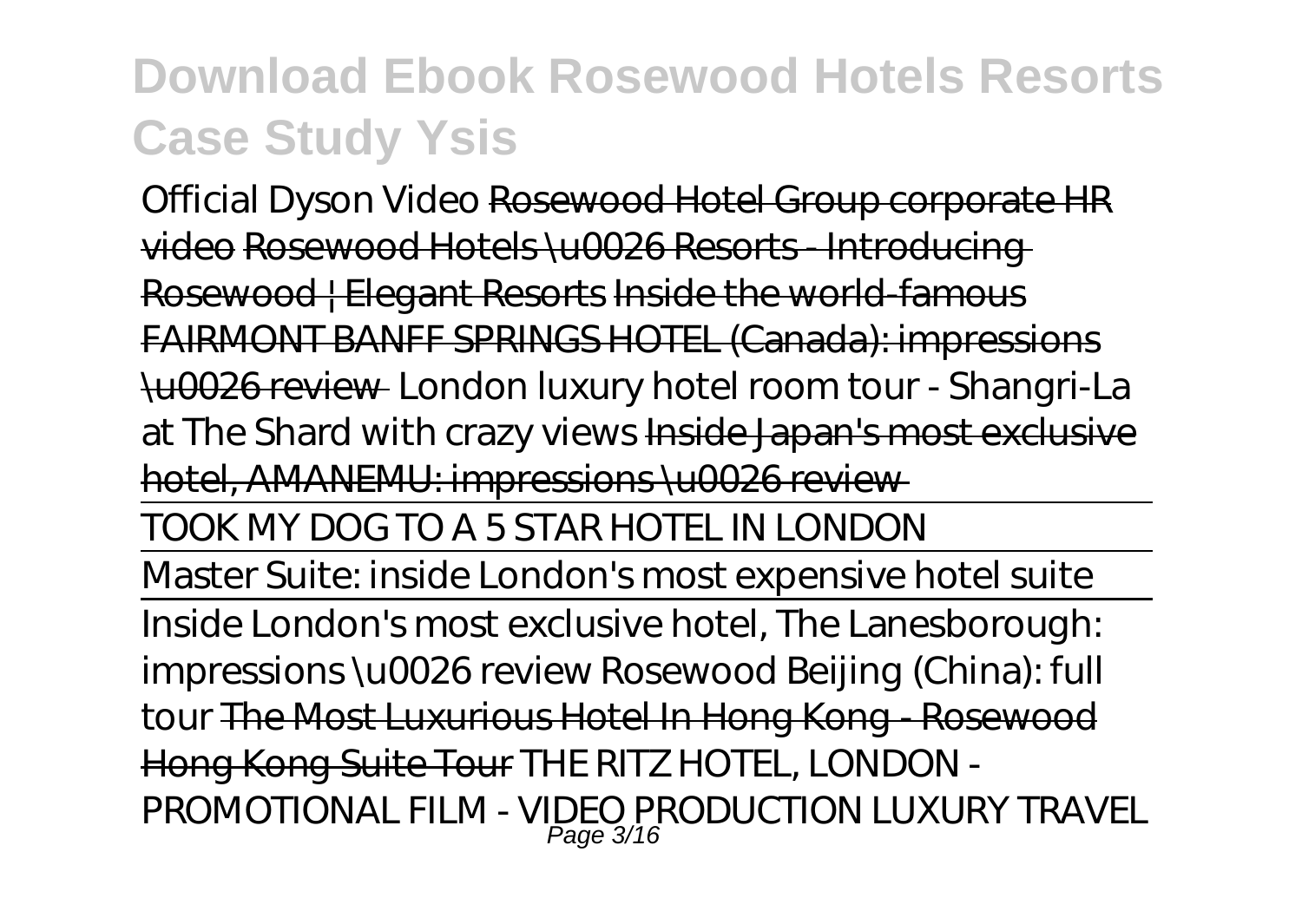*Official Dyson Video* Rosewood Hotel Group corporate HR video Rosewood Hotels \u0026 Resorts - Introducing Rosewood | Elegant Resorts Inside the world-famous FAIRMONT BANFF SPRINGS HOTEL (Canada): impressions \u0026 review *London luxury hotel room tour - Shangri-La at The Shard with crazy views* Inside Japan's most exclusive hotel, AMANEMU: impressions \u0026 review TOOK MY DOG TO A 5 STAR HOTEL IN LONDON Master Suite: inside London's most expensive hotel suite Inside London's most exclusive hotel, The Lanesborough:

impressions \u0026 review *Rosewood Beijing (China): full tour* The Most Luxurious Hotel In Hong Kong - Rosewood Hong Kong Suite Tour THE RITZ HOTEL, LONDON - PROMOTIONAL FILM - VIDEO PRODUCTION LUXURY TRAVEL Page 3/16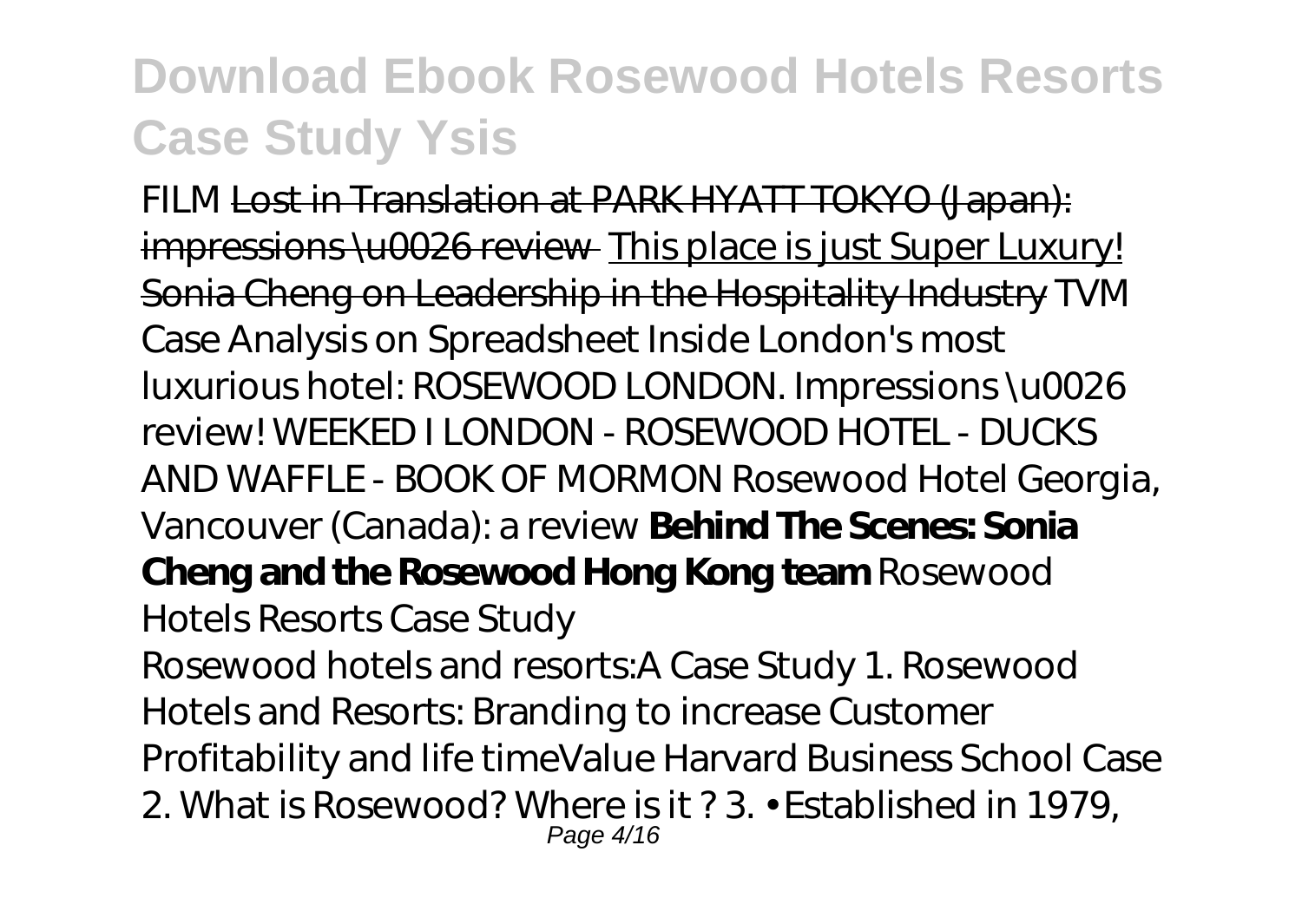FILM Lost in Translation at PARK HYATT TOKYO (Japan): impressions \u0026 review This place is just Super Luxury! Sonia Cheng on Leadership in the Hospitality Industry *TVM Case Analysis on Spreadsheet Inside London's most luxurious hotel: ROSEWOOD LONDON. Impressions \u0026 review! WEEKED I LONDON - ROSEWOOD HOTEL - DUCKS AND WAFFLE - BOOK OF MORMON Rosewood Hotel Georgia, Vancouver (Canada): a review* **Behind The Scenes: Sonia Cheng and the Rosewood Hong Kong team** Rosewood Hotels Resorts Case Study Rosewood hotels and resorts:A Case Study 1. Rosewood Hotels and Resorts: Branding to increase Customer Profitability and life timeValue Harvard Business School Case 2. What is Rosewood? Where is it ? 3. • Established in 1979, Page 4/16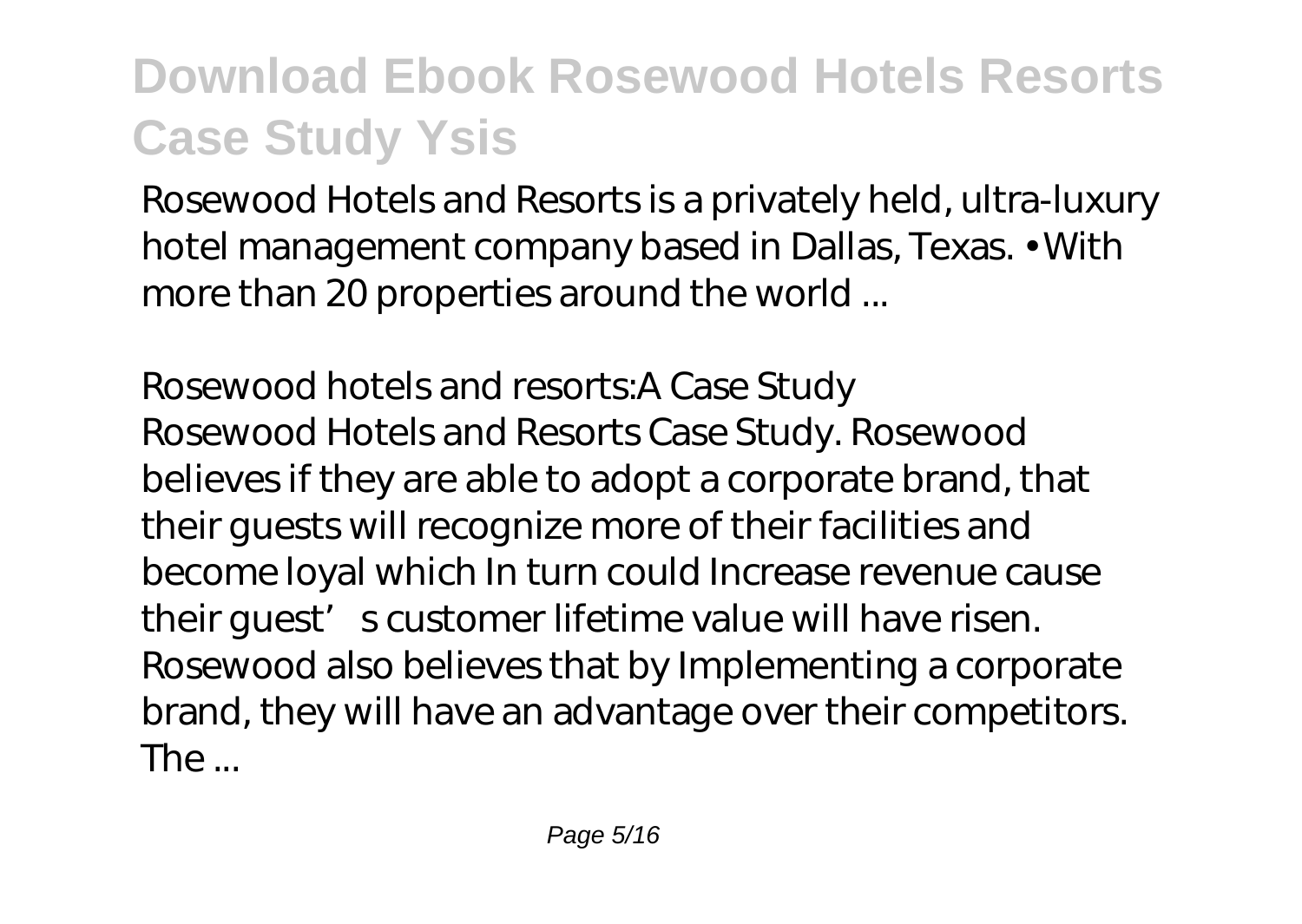Rosewood Hotels and Resorts is a privately held, ultra-luxury hotel management company based in Dallas, Texas. • With more than 20 properties around the world ...

Rosewood hotels and resorts:A Case Study Rosewood Hotels and Resorts Case Study. Rosewood believes if they are able to adopt a corporate brand, that their guests will recognize more of their facilities and become loyal which In turn could Increase revenue cause their quest' s customer lifetime value will have risen. Rosewood also believes that by Implementing a corporate brand, they will have an advantage over their competitors. The ...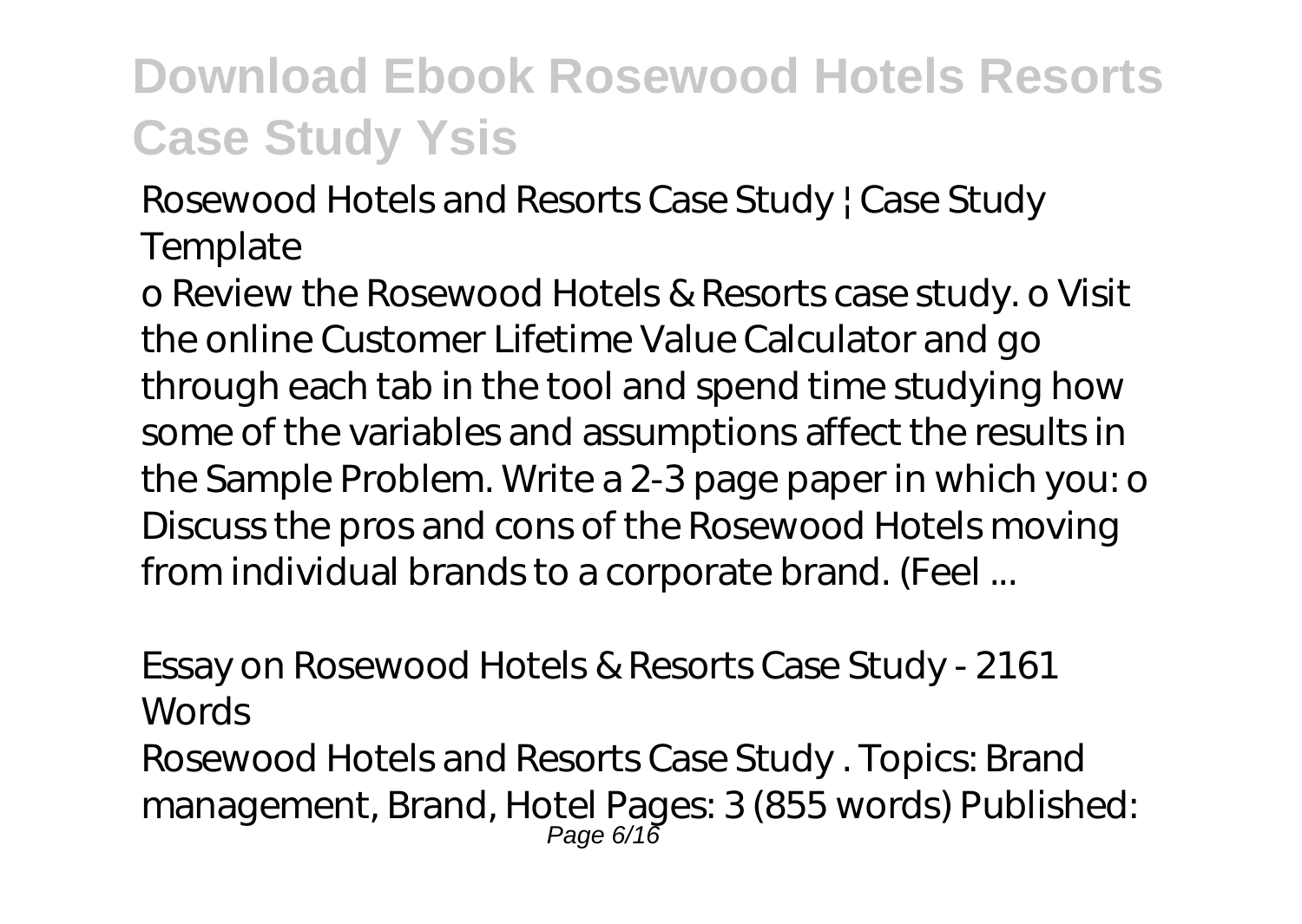Rosewood Hotels and Resorts Case Study | Case Study **Template** 

o Review the Rosewood Hotels & Resorts case study. o Visit the online Customer Lifetime Value Calculator and go through each tab in the tool and spend time studying how some of the variables and assumptions affect the results in the Sample Problem. Write a 2-3 page paper in which you: o Discuss the pros and cons of the Rosewood Hotels moving from individual brands to a corporate brand. (Feel ...

Essay on Rosewood Hotels & Resorts Case Study - 2161 Words Rosewood Hotels and Resorts Case Study . Topics: Brand management, Brand, Hotel Pages: 3 (855 words) Published: Page 6/16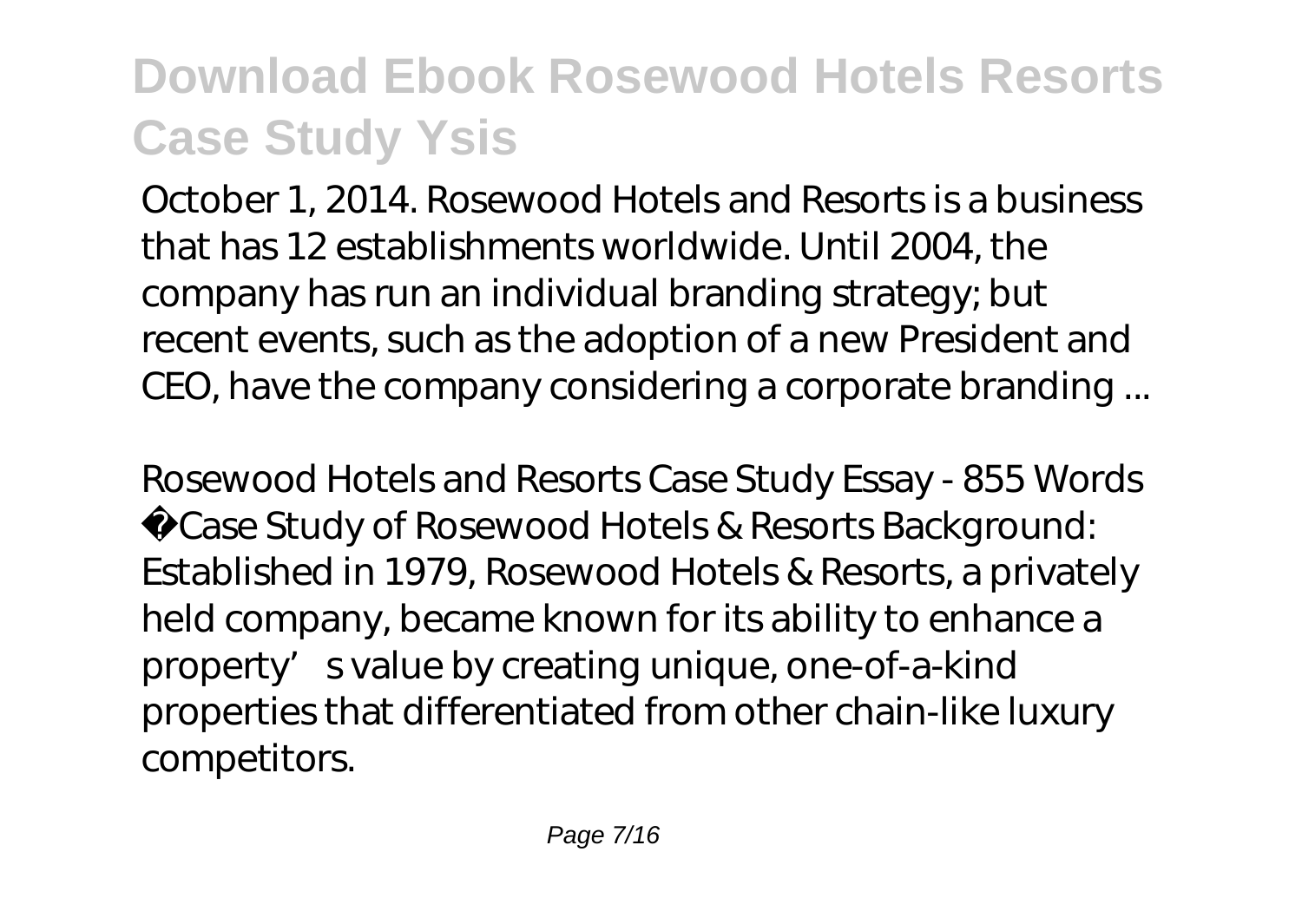October 1, 2014. Rosewood Hotels and Resorts is a business that has 12 establishments worldwide. Until 2004, the company has run an individual branding strategy; but recent events, such as the adoption of a new President and CEO, have the company considering a corporate branding ...

Rosewood Hotels and Resorts Case Study Essay - 855 Words Case Study of Rosewood Hotels & Resorts Background: Established in 1979, Rosewood Hotels & Resorts, a privately held company, became known for its ability to enhance a property's value by creating unique, one-of-a-kind properties that differentiated from other chain-like luxury competitors.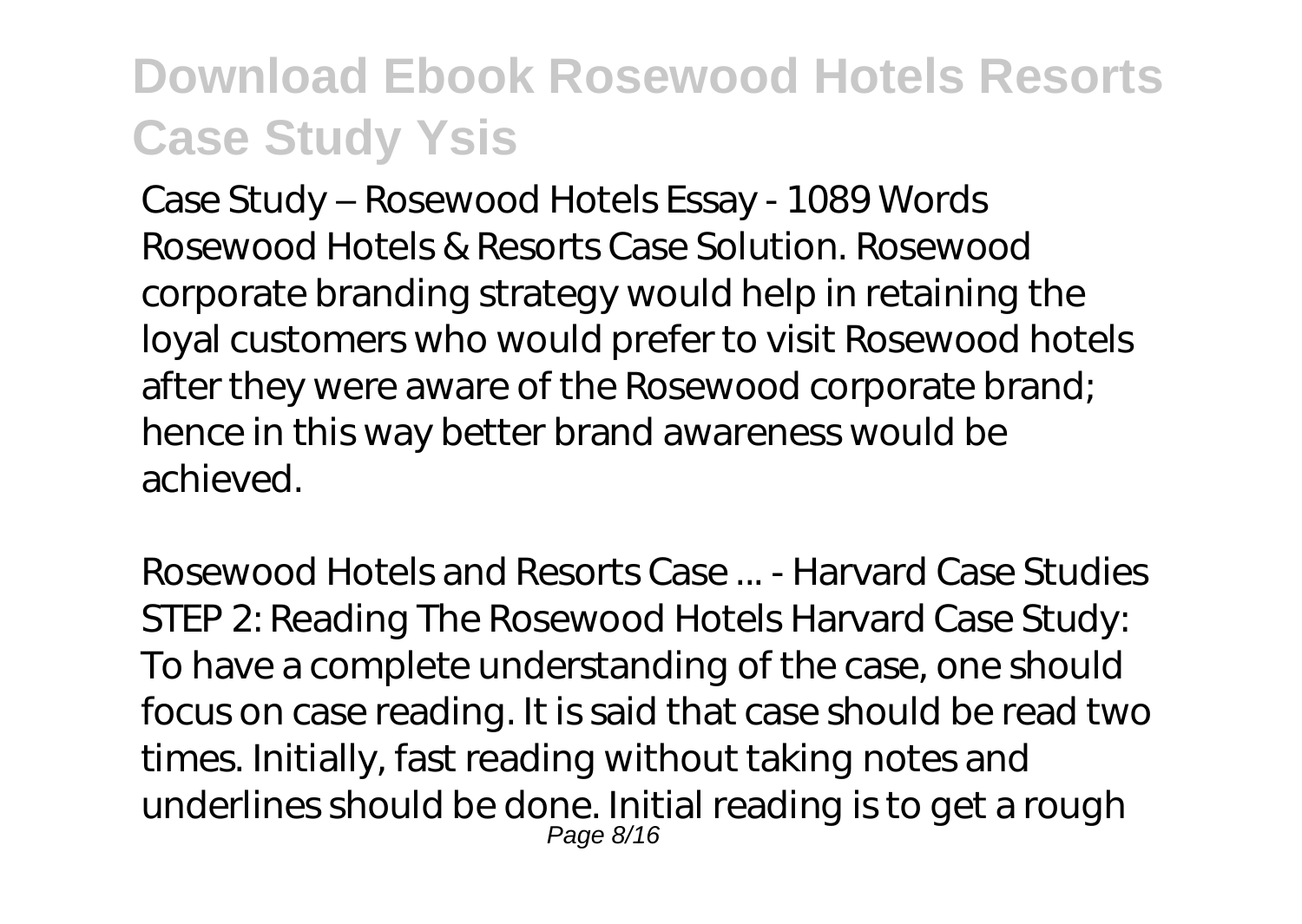Case Study – Rosewood Hotels Essay - 1089 Words Rosewood Hotels & Resorts Case Solution. Rosewood corporate branding strategy would help in retaining the loyal customers who would prefer to visit Rosewood hotels after they were aware of the Rosewood corporate brand; hence in this way better brand awareness would be achieved.

Rosewood Hotels and Resorts Case ... - Harvard Case Studies STEP 2: Reading The Rosewood Hotels Harvard Case Study: To have a complete understanding of the case, one should focus on case reading. It is said that case should be read two times. Initially, fast reading without taking notes and underlines should be done. Initial reading is to get a rough Page 8/16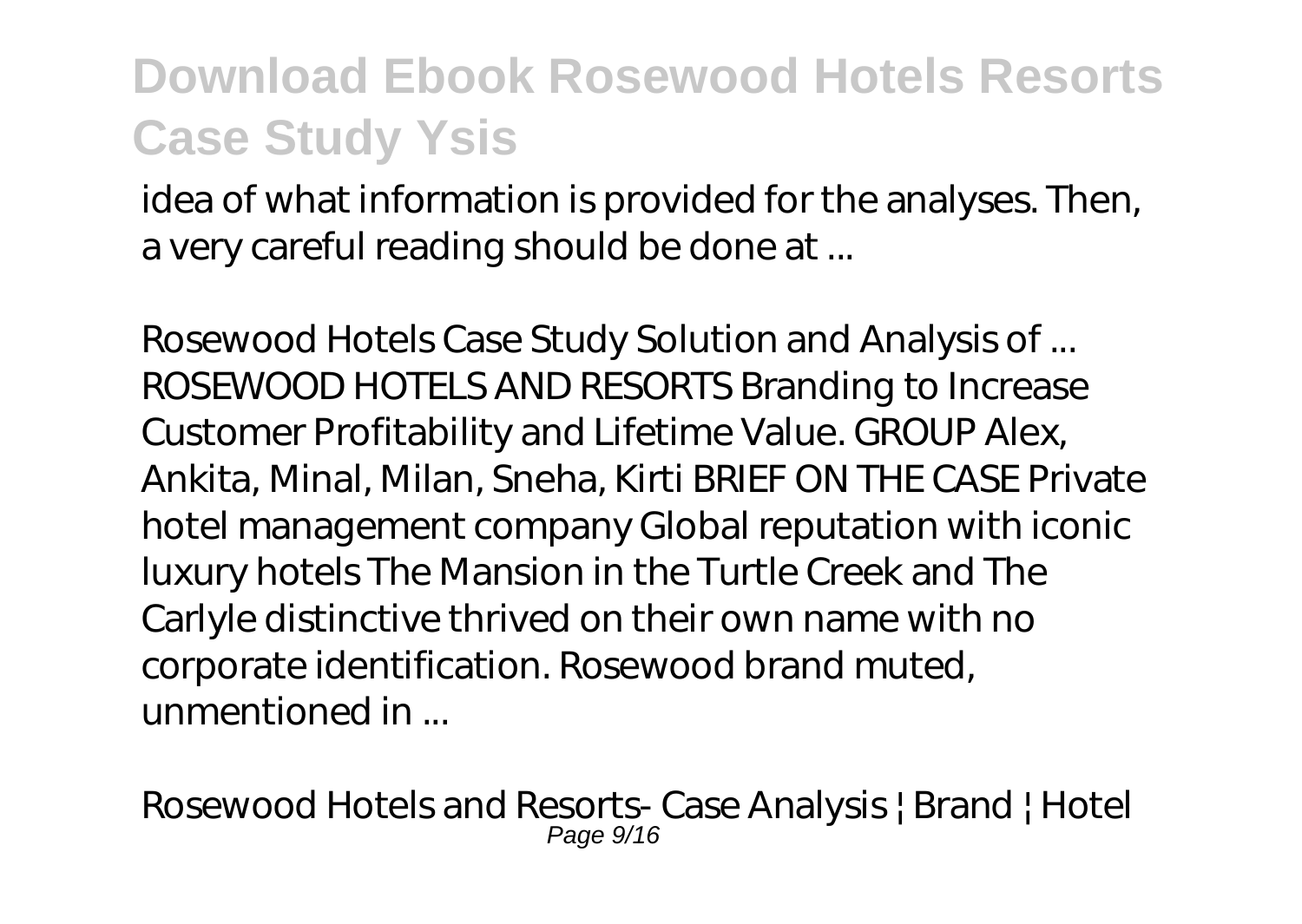idea of what information is provided for the analyses. Then, a very careful reading should be done at ...

Rosewood Hotels Case Study Solution and Analysis of ... ROSEWOOD HOTELS AND RESORTS Branding to Increase Customer Profitability and Lifetime Value. GROUP Alex, Ankita, Minal, Milan, Sneha, Kirti BRIEF ON THE CASE Private hotel management company Global reputation with iconic luxury hotels The Mansion in the Turtle Creek and The Carlyle distinctive thrived on their own name with no corporate identification. Rosewood brand muted, unmentioned in ...

Rosewood Hotels and Resorts- Case Analysis | Brand | Hotel Page  $9/16$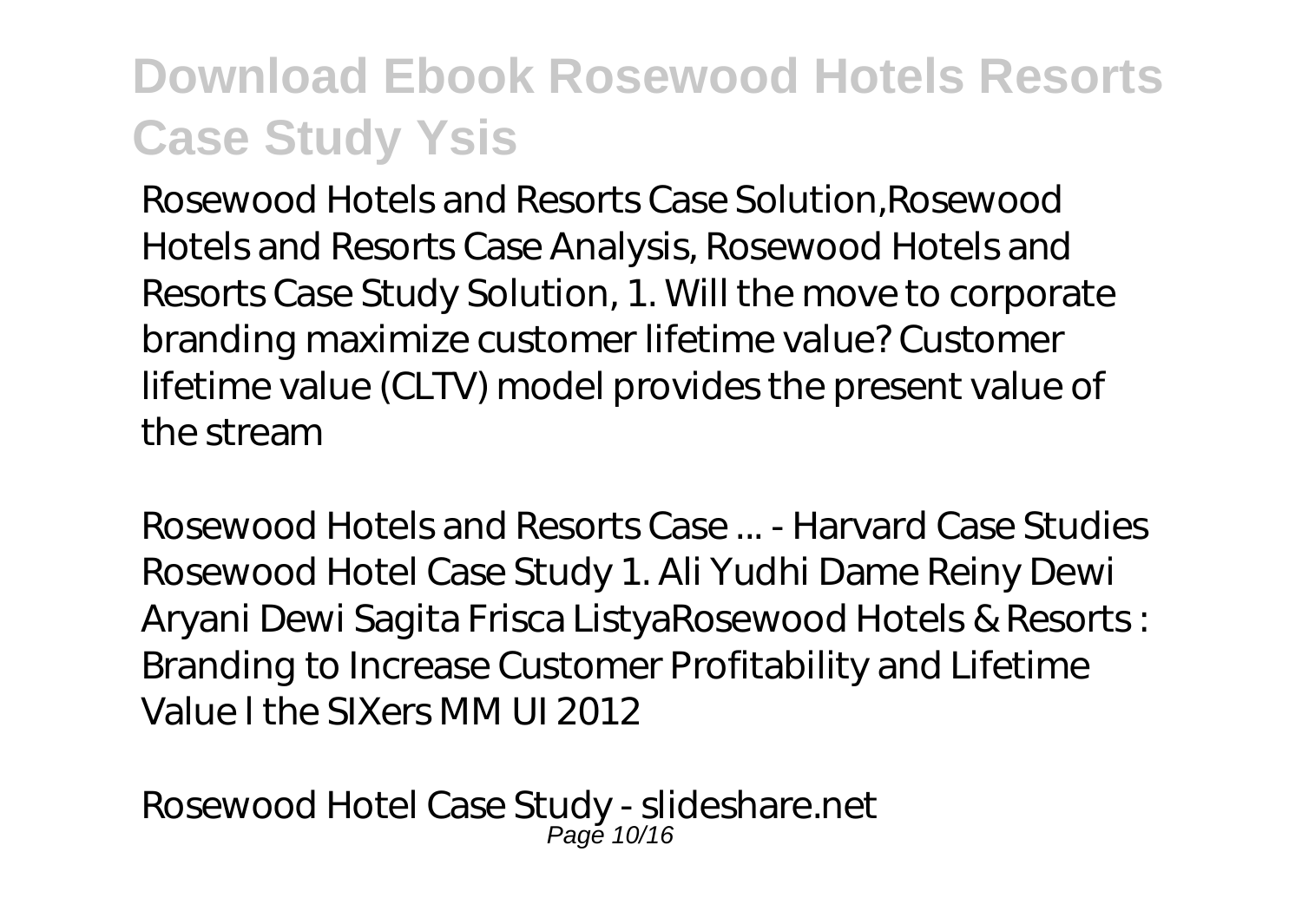Rosewood Hotels and Resorts Case Solution,Rosewood Hotels and Resorts Case Analysis, Rosewood Hotels and Resorts Case Study Solution, 1. Will the move to corporate branding maximize customer lifetime value? Customer lifetime value (CLTV) model provides the present value of the stream

Rosewood Hotels and Resorts Case ... - Harvard Case Studies Rosewood Hotel Case Study 1. Ali Yudhi Dame Reiny Dewi Aryani Dewi Sagita Frisca ListyaRosewood Hotels & Resorts : Branding to Increase Customer Profitability and Lifetime Value l the SIXers MM UI 2012

Rosewood Hotel Case Study - slideshare.net Page 10/16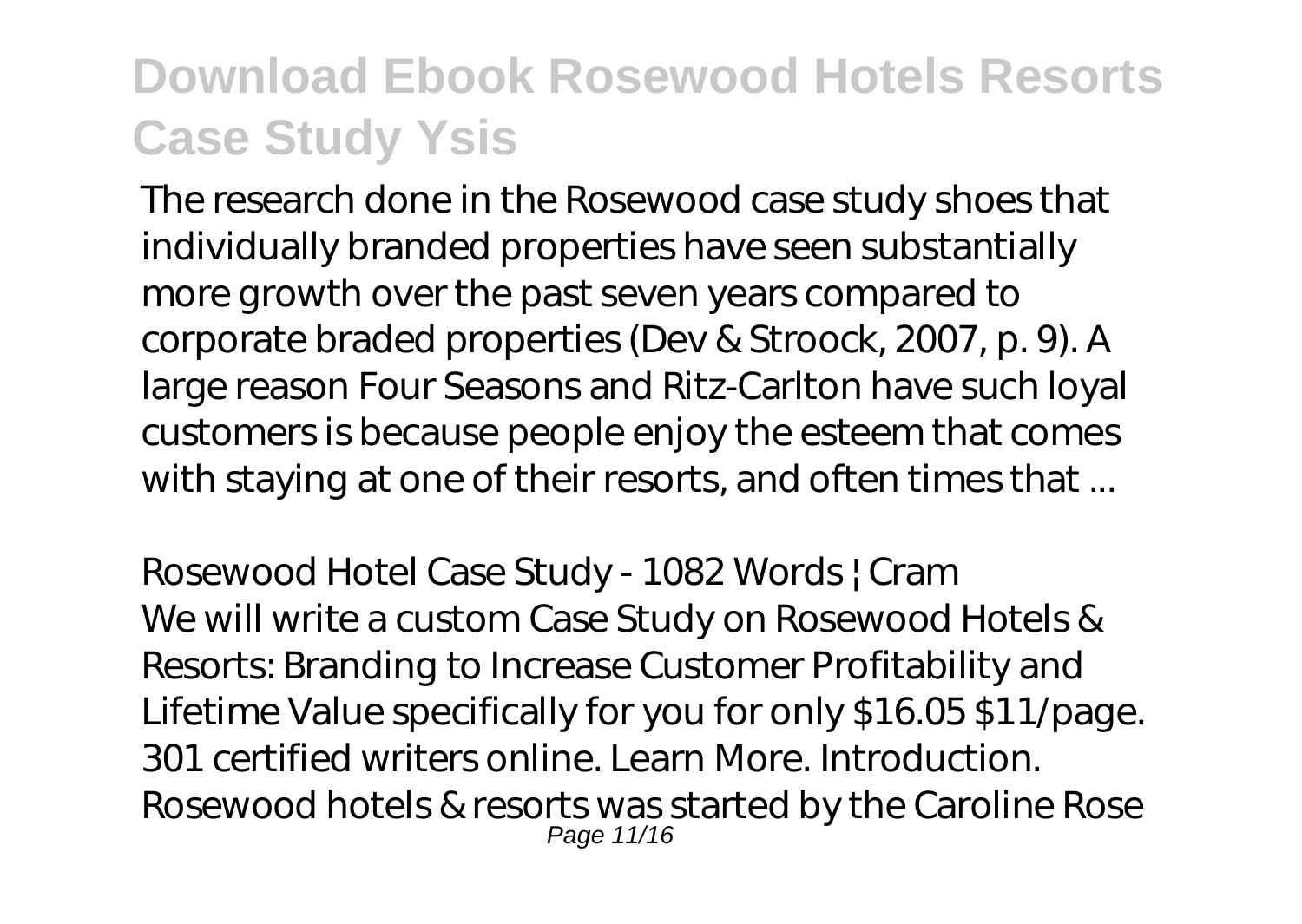The research done in the Rosewood case study shoes that individually branded properties have seen substantially more growth over the past seven years compared to corporate braded properties (Dev & Stroock, 2007, p. 9). A large reason Four Seasons and Ritz-Carlton have such loyal customers is because people enjoy the esteem that comes with staying at one of their resorts, and often times that ...

Rosewood Hotel Case Study - 1082 Words | Cram We will write a custom Case Study on Rosewood Hotels & Resorts: Branding to Increase Customer Profitability and Lifetime Value specifically for you for only \$16.05 \$11/page. 301 certified writers online. Learn More. Introduction. Rosewood hotels & resorts was started by the Caroline Rose Page 11/16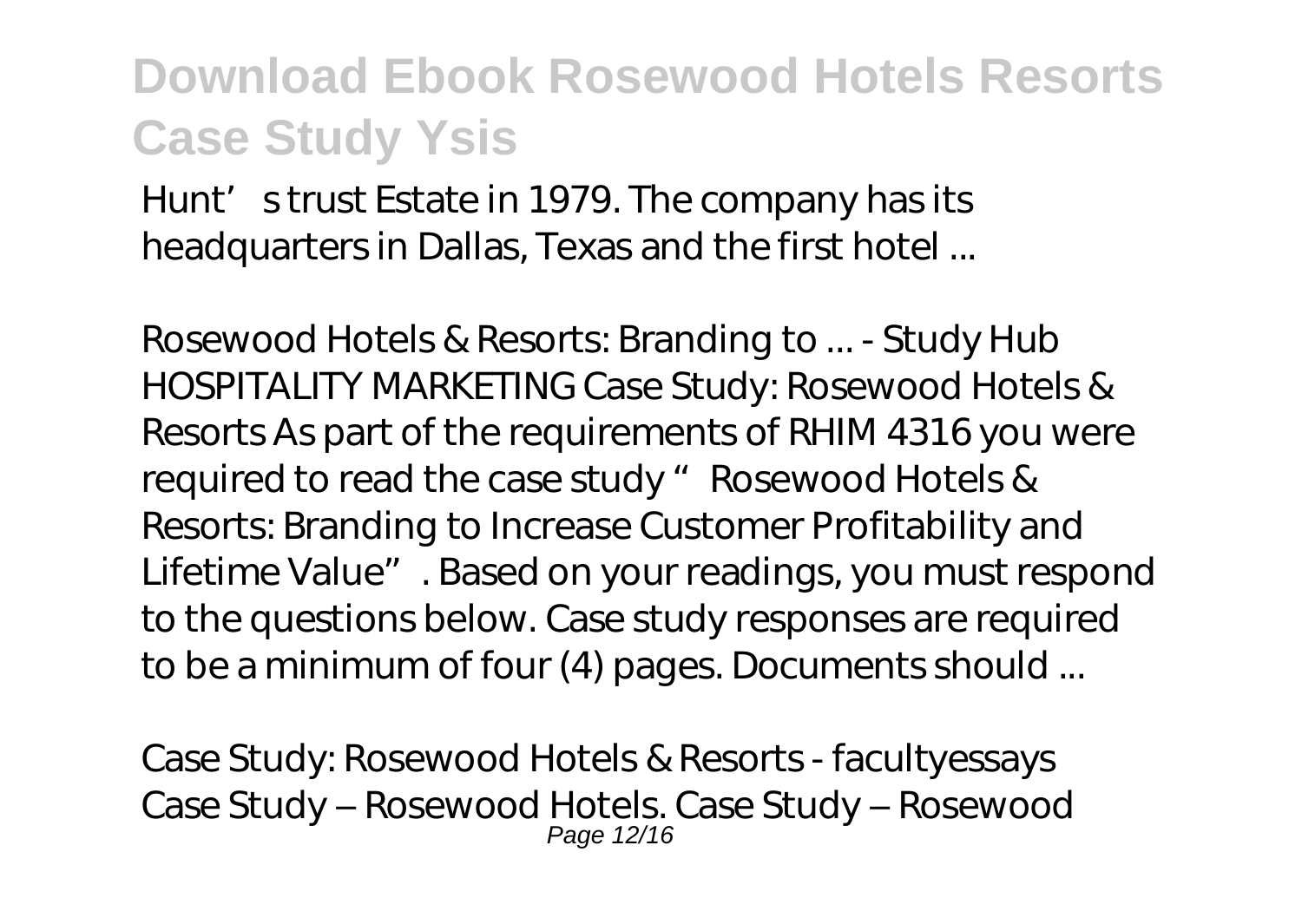Hunt's trust Estate in 1979. The company has its headquarters in Dallas, Texas and the first hotel ...

Rosewood Hotels & Resorts: Branding to ... - Study Hub HOSPITALITY MARKETING Case Study: Rosewood Hotels & Resorts As part of the requirements of RHIM 4316 you were required to read the case study " Rosewood Hotels & Resorts: Branding to Increase Customer Profitability and Lifetime Value". Based on your readings, you must respond to the questions below. Case study responses are required to be a minimum of four (4) pages. Documents should ...

Case Study: Rosewood Hotels & Resorts - facultyessays Case Study – Rosewood Hotels. Case Study – Rosewood Page 12/16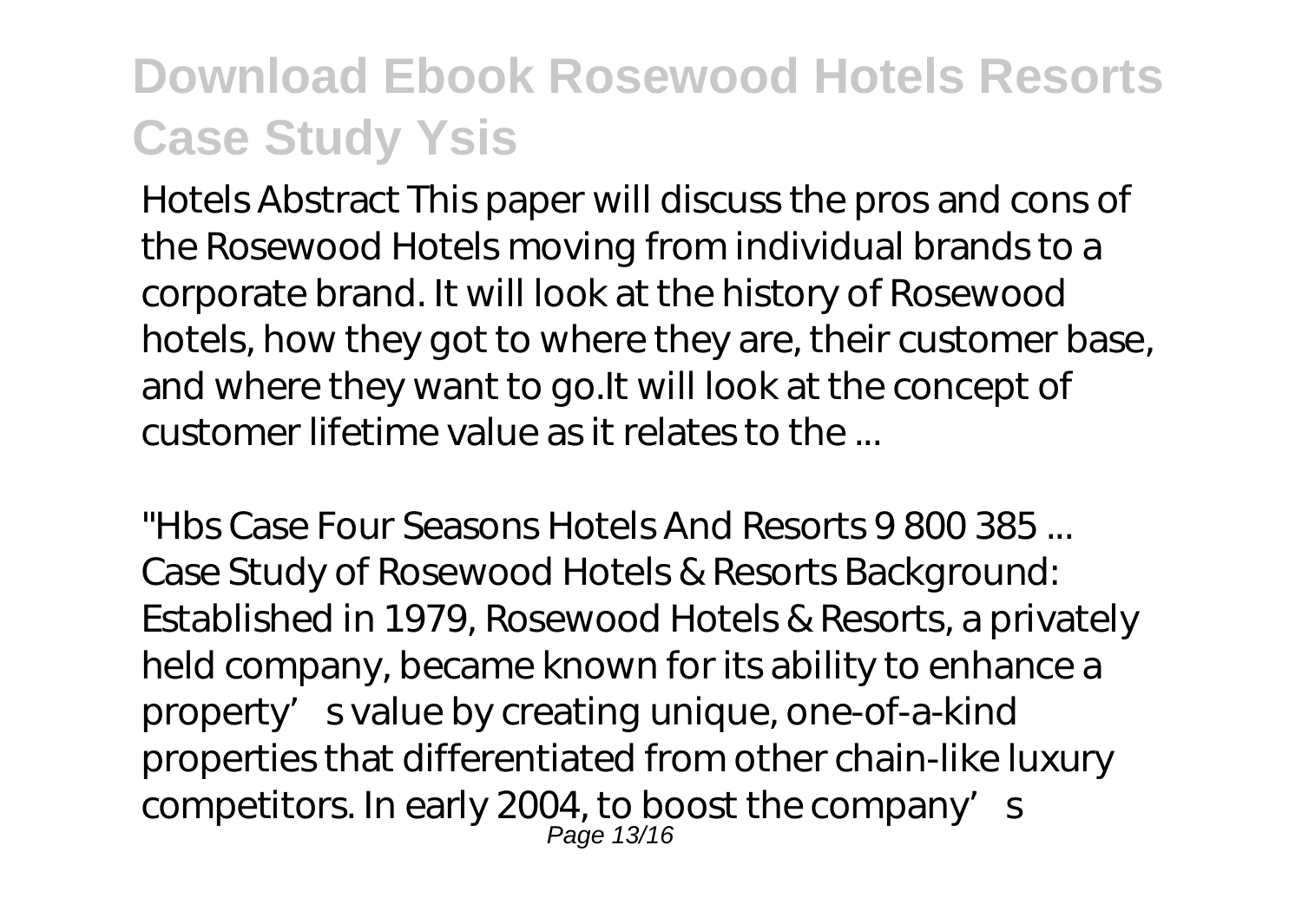Hotels Abstract This paper will discuss the pros and cons of the Rosewood Hotels moving from individual brands to a corporate brand. It will look at the history of Rosewood hotels, how they got to where they are, their customer base, and where they want to go.It will look at the concept of customer lifetime value as it relates to the ...

"Hbs Case Four Seasons Hotels And Resorts 9 800 385 ... Case Study of Rosewood Hotels & Resorts Background: Established in 1979, Rosewood Hotels & Resorts, a privately held company, became known for its ability to enhance a property's value by creating unique, one-of-a-kind properties that differentiated from other chain-like luxury competitors. In early 2004, to boost the company's Page 13/16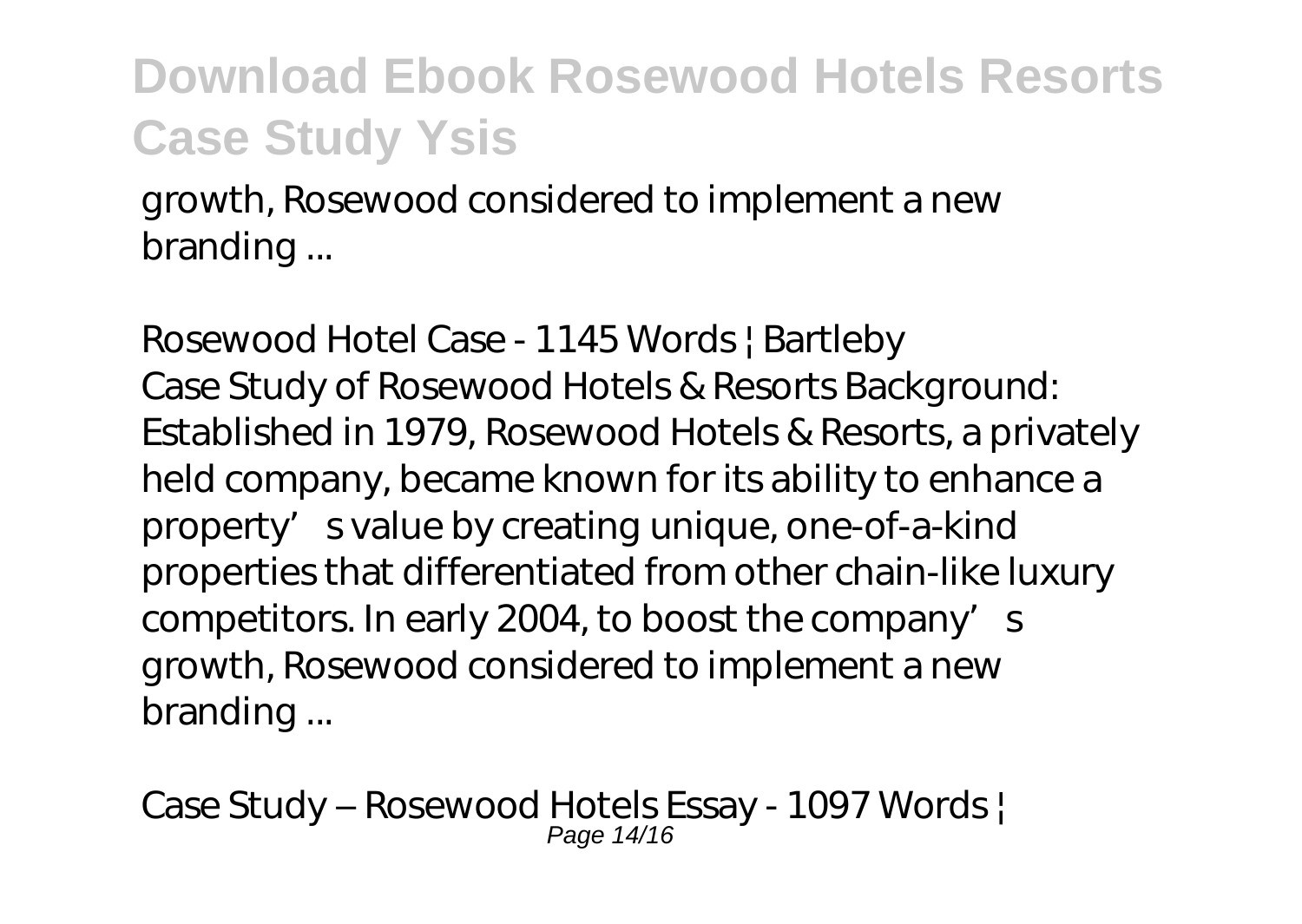growth, Rosewood considered to implement a new branding ...

Rosewood Hotel Case - 1145 Words | Bartleby Case Study of Rosewood Hotels & Resorts Background: Established in 1979, Rosewood Hotels & Resorts, a privately held company, became known for its ability to enhance a property' svalue by creating unique, one-of-a-kind properties that differentiated from other chain-like luxury competitors. In early 2004, to boost the company's growth, Rosewood considered to implement a new branding ...

Case Study – Rosewood Hotels Essay - 1097 Words | Page 14/16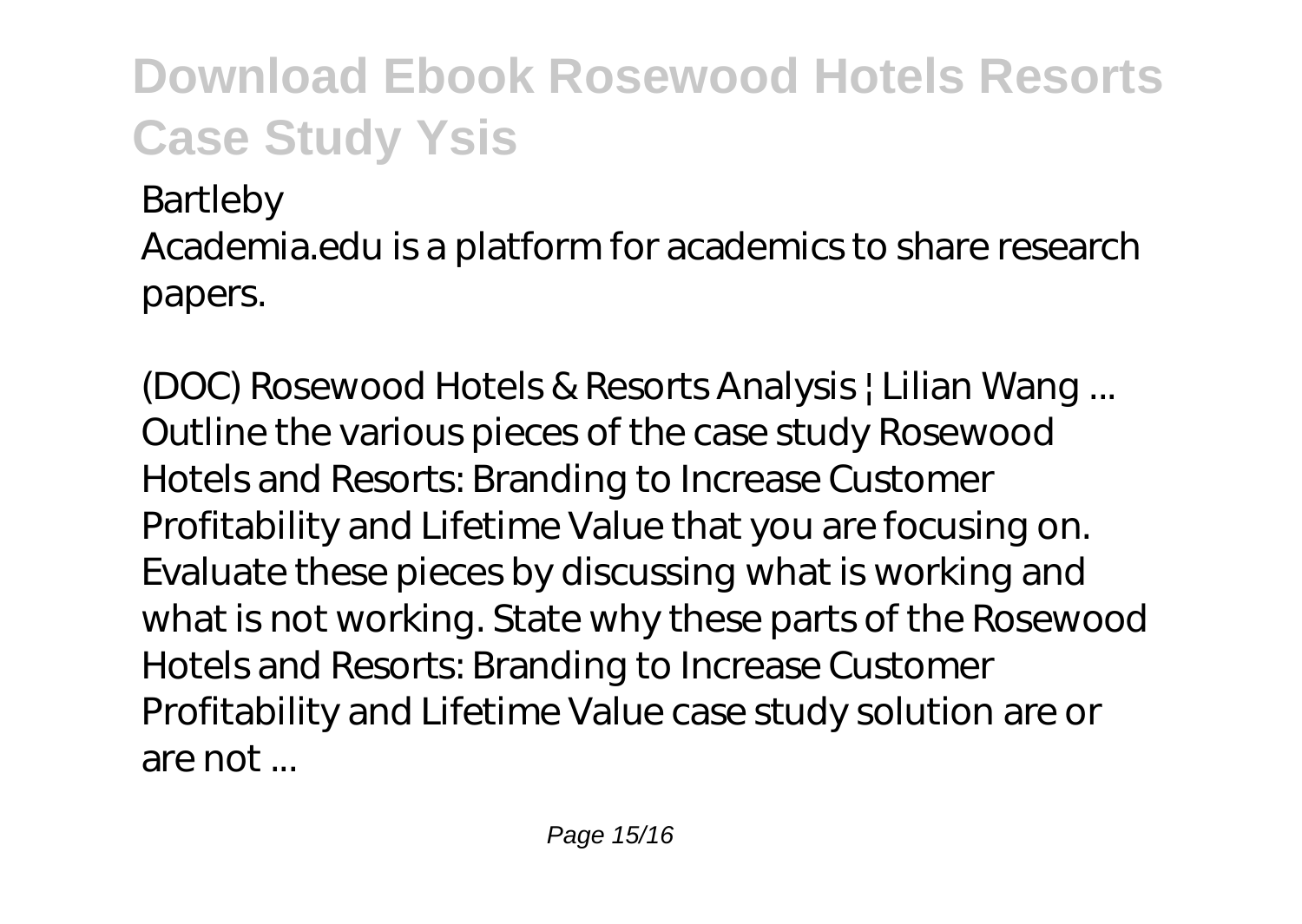Bartleby

Academia.edu is a platform for academics to share research papers.

(DOC) Rosewood Hotels & Resorts Analysis | Lilian Wang ... Outline the various pieces of the case study Rosewood Hotels and Resorts: Branding to Increase Customer Profitability and Lifetime Value that you are focusing on. Evaluate these pieces by discussing what is working and what is not working. State why these parts of the Rosewood Hotels and Resorts: Branding to Increase Customer Profitability and Lifetime Value case study solution are or are not ...